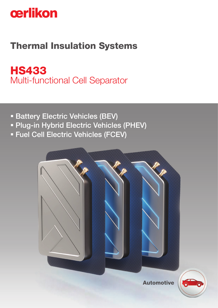

# Thermal Insulation Systems

HS433 Multi-functional Cell Separator

- **Battery Electric Vehicles (BEV)**
- Plug-in Hybrid Electric Vehicles (PHEV)
- Fuel Cell Electric Vehicles (FCEV)